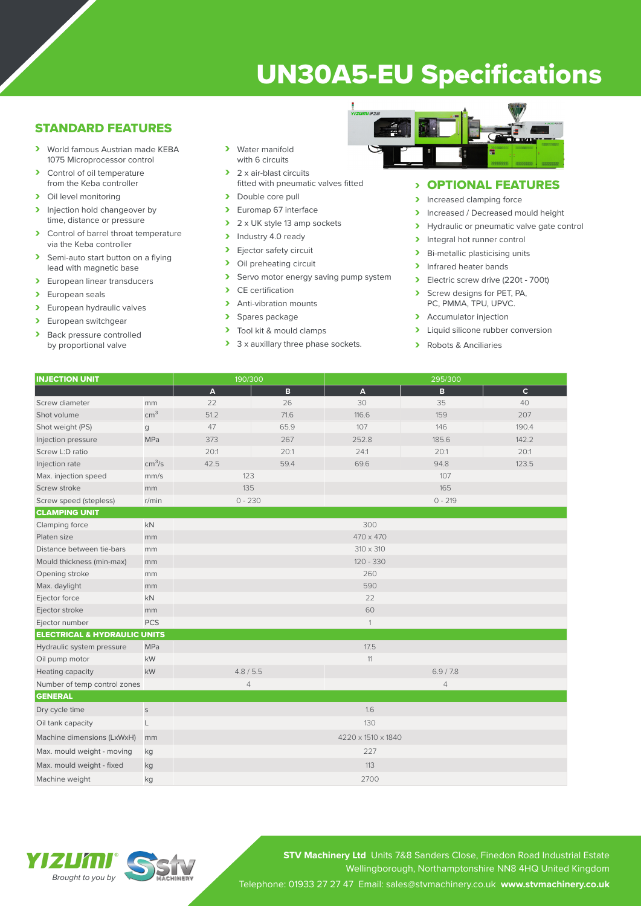# UN30A5-EU Specifications

## STANDARD FEATURES

- › World famous Austrian made KEBA 1075 Microprocessor control
- > Control of oil temperature from the Keba controller
- › Oil level monitoring
- > Injection hold changeover by time, distance or pressure
- › Control of barrel throat temperature via the Keba controller
- > Semi-auto start button on a flying lead with magnetic base
- > European linear transducers
- > European seals
- > European hydraulic valves
- > European switchgear
- > Back pressure controlled by proportional valve
- › Water manifold with 6 circuits
- $\geq 2 \times$  air-blast circuits fitted with pneumatic valves fitted
- > Double core pull
- › Euromap 67 interface
- $\geq 2 \times UK$  style 13 amp sockets
- > Industry 4.0 ready
- > Ejector safety circuit
- > Oil preheating circuit
- > Servo motor energy saving pump system
- › CE certification
- > Anti-vibration mounts
- > Spares package
- > Tool kit & mould clamps
- > 3 x auxillary three phase sockets.



# > **OPTIONAL FEATURES**<br>> Increased clamping force

- Increased clamping force
- > Increased / Decreased mould height
- > Hydraulic or pneumatic valve gate control
- > Integral hot runner control<br>> Bi-metallic plasticising unit
- **Bi-metallic plasticising units**
- > Infrared heater bands
- $\triangleright$  Electric screw drive (220t 700t)<br>  $\triangleright$  Screw designs for PFT PA
- Screw designs for PET, PA, PC, PMMA, TPU, UPVC.
- > Accumulator injection
- > Liquid silicone rubber conversion
- › Robots & Anciliaries

| <b>INJECTION UNIT</b>                   |                    | 190/300          |      | 295/300   |       |              |  |  |
|-----------------------------------------|--------------------|------------------|------|-----------|-------|--------------|--|--|
|                                         |                    | A                | B    | A         | B     | $\mathbf{C}$ |  |  |
| Screw diameter                          | mm                 | 22               | 26   | 30        | 35    | 40           |  |  |
| Shot volume                             | cm <sup>3</sup>    | 51.2             | 71.6 | 116.6     | 159   | 207          |  |  |
| Shot weight (PS)                        | g                  | 47               | 65.9 | 107       | 146   | 190.4        |  |  |
| Injection pressure                      | <b>MPa</b>         | 373              | 267  | 252.8     | 185.6 | 142.2        |  |  |
| Screw L:D ratio                         |                    | 20:1             | 20:1 | 24:1      | 20:1  | 20:1         |  |  |
| Injection rate                          | cm <sup>3</sup> /s | 42.5             | 59.4 | 69.6      | 94.8  | 123.5        |  |  |
| Max. injection speed                    | mm/s               | 123<br>107       |      |           |       |              |  |  |
| Screw stroke                            | mm                 | 135              |      | 165       |       |              |  |  |
| Screw speed (stepless)                  | r/min              | $0 - 230$        |      | $0 - 219$ |       |              |  |  |
| <b>CLAMPING UNIT</b>                    |                    |                  |      |           |       |              |  |  |
| Clamping force                          | kN                 | 300              |      |           |       |              |  |  |
| Platen size                             | mm                 | $470 \times 470$ |      |           |       |              |  |  |
| Distance between tie-bars               | mm                 | $310 \times 310$ |      |           |       |              |  |  |
| Mould thickness (min-max)               | mm                 | $120 - 330$      |      |           |       |              |  |  |
| Opening stroke                          | mm                 | 260              |      |           |       |              |  |  |
| Max. daylight                           | mm                 | 590              |      |           |       |              |  |  |
| Ejector force                           | kN                 | 22               |      |           |       |              |  |  |
| Ejector stroke                          | mm                 | 60               |      |           |       |              |  |  |
| Ejector number                          | <b>PCS</b>         |                  |      |           |       |              |  |  |
| <b>ELECTRICAL &amp; HYDRAULIC UNITS</b> |                    |                  |      |           |       |              |  |  |
| Hydraulic system pressure               | <b>MPa</b>         | 17.5             |      |           |       |              |  |  |
| Oil pump motor                          | kW                 | 11               |      |           |       |              |  |  |

| <b>Heating capacity</b>      | kW | 4.8 / 5.5          |                | 6.9 / 7.8 |  |  |  |  |
|------------------------------|----|--------------------|----------------|-----------|--|--|--|--|
| Number of temp control zones |    | 4                  | $\overline{4}$ |           |  |  |  |  |
| <b>GENERAL</b>               |    |                    |                |           |  |  |  |  |
| Dry cycle time               | S  | 1.6                |                |           |  |  |  |  |
| Oil tank capacity            |    | 130                |                |           |  |  |  |  |
| Machine dimensions (LxWxH)   | mm | 4220 x 1510 x 1840 |                |           |  |  |  |  |
| Max. mould weight - moving   | kg | 227                |                |           |  |  |  |  |
| Max. mould weight - fixed    | kg | 113                |                |           |  |  |  |  |
| Machine weight               | kg | 2700               |                |           |  |  |  |  |

**STV Machinery Ltd** Units 7&8 Sanders Close, Finedon Road Industrial Estate Wellingborough, Northamptonshire NN8 4HQ United Kingdom Telephone: 01933 27 27 47 Email: sales@stvmachinery.co.uk **www.stvmachinery.co.uk**